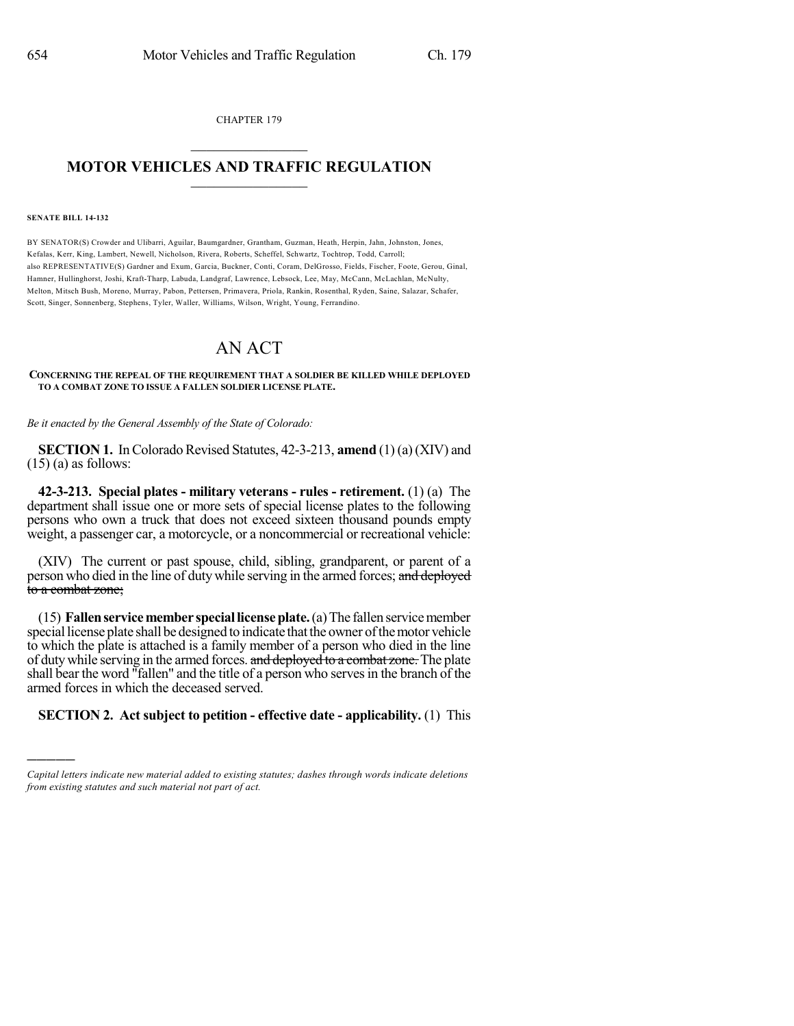CHAPTER 179

## $\mathcal{L}_\text{max}$  . The set of the set of the set of the set of the set of the set of the set of the set of the set of the set of the set of the set of the set of the set of the set of the set of the set of the set of the set **MOTOR VEHICLES AND TRAFFIC REGULATION**  $\_$   $\_$   $\_$   $\_$   $\_$   $\_$   $\_$   $\_$   $\_$   $\_$

**SENATE BILL 14-132**

)))))

BY SENATOR(S) Crowder and Ulibarri, Aguilar, Baumgardner, Grantham, Guzman, Heath, Herpin, Jahn, Johnston, Jones, Kefalas, Kerr, King, Lambert, Newell, Nicholson, Rivera, Roberts, Scheffel, Schwartz, Tochtrop, Todd, Carroll; also REPRESENTATIVE(S) Gardner and Exum, Garcia, Buckner, Conti, Coram, DelGrosso, Fields, Fischer, Foote, Gerou, Ginal, Hamner, Hullinghorst, Joshi, Kraft-Tharp, Labuda, Landgraf, Lawrence, Lebsock, Lee, May, McCann, McLachlan, McNulty, Melton, Mitsch Bush, Moreno, Murray, Pabon, Pettersen, Primavera, Priola, Rankin, Rosenthal, Ryden, Saine, Salazar, Schafer, Scott, Singer, Sonnenberg, Stephens, Tyler, Waller, Williams, Wilson, Wright, Young, Ferrandino.

## AN ACT

## **CONCERNING THE REPEAL OF THE REQUIREMENT THAT A SOLDIER BE KILLED WHILE DEPLOYED TO A COMBAT ZONE TO ISSUE A FALLEN SOLDIER LICENSE PLATE.**

*Be it enacted by the General Assembly of the State of Colorado:*

**SECTION 1.** In Colorado Revised Statutes, 42-3-213, **amend** (1) (a) (XIV) and  $(15)$  (a) as follows:

**42-3-213. Special plates - military veterans - rules - retirement.** (1) (a) The department shall issue one or more sets of special license plates to the following persons who own a truck that does not exceed sixteen thousand pounds empty weight, a passenger car, a motorcycle, or a noncommercial or recreational vehicle:

(XIV) The current or past spouse, child, sibling, grandparent, or parent of a person who died in the line of dutywhile serving in the armed forces; and deployed to a combat zone;

(15) **Fallenservicemember speciallicenseplate.**(a)The fallen servicemember speciallicense plate shall be designed to indicate thatthe owner ofthemotor vehicle to which the plate is attached is a family member of a person who died in the line of duty while serving in the armed forces. and deployed to a combat zone. The plate shall bear the word "fallen" and the title of a person who servesin the branch of the armed forces in which the deceased served.

## **SECTION 2. Act subject to petition - effective date - applicability.** (1) This

*Capital letters indicate new material added to existing statutes; dashes through words indicate deletions from existing statutes and such material not part of act.*